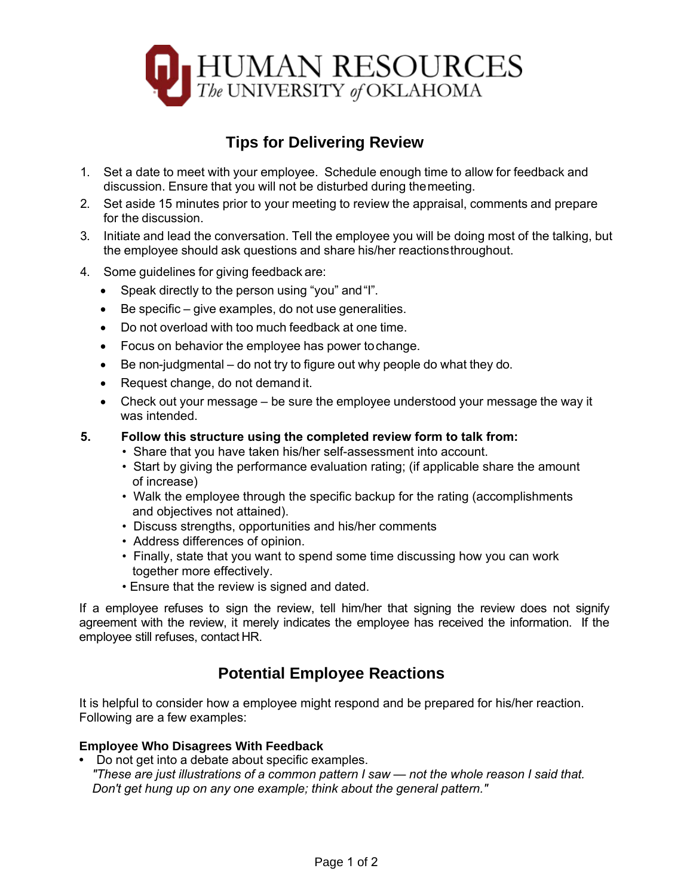

# **Tips for Delivering Review**

- 1. Set a date to meet with your employee. Schedule enough time to allow for feedback and discussion. Ensure that you will not be disturbed during the meeting.
- 2. Set aside 15 minutes prior to your meeting to review the appraisal, comments and prepare for the discussion.
- 3. Initiate and lead the conversation. Tell the employee you will be doing most of the talking, but the employee should ask questions and share his/her reactions throughout.
- 4. Some guidelines for giving feedback are:
	- Speak directly to the person using "you" and "I".
	- Be specific give examples, do not use generalities.
	- Do not overload with too much feedback at one time.
	- Focus on behavior the employee has power tochange.
	- Be non-judgmental do not try to figure out why people do what they do.
	- Request change, do not demand it.
	- Check out your message be sure the employee understood your message the way it was intended.

#### **5. Follow this structure using the completed review form to talk from:**

- Share that you have taken his/her self-assessment into account.
- Start by giving the performance evaluation rating; (if applicable share the amount of increase)
- Walk the employee through the specific backup for the rating (accomplishments and objectives not attained).
- Discuss strengths, opportunities and his/her comments
- Address differences of opinion.
- Finally, state that you want to spend some time discussing how you can work together more effectively.
- Ensure that the review is signed and dated.

If a employee refuses to sign the review, tell him/her that signing the review does not signify agreement with the review, it merely indicates the employee has received the information. If the employee still refuses, contact HR.

# **Potential Employee Reactions**

It is helpful to consider how a employee might respond and be prepared for his/her reaction. Following are a few examples:

#### **Employee Who Disagrees With Feedback**

**•** Do not get into a debate about specific examples. *"These are just illustrations of a common pattern I saw — not the whole reason I said that. Don't get hung up on any one example; think about the general pattern."*